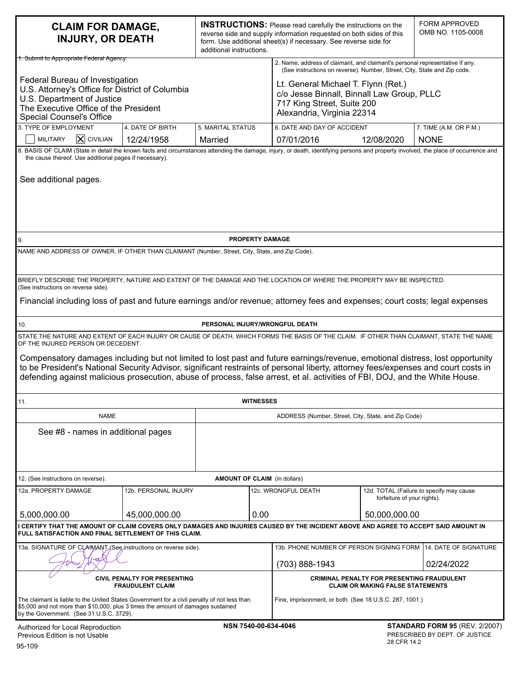| <b>CLAIM FOR DAMAGE,</b><br><b>INJURY, OR DEATH</b>                                                                                                                                                                                                                                                                                                                                                                                                                                                                                                                                   |                                                     | additional instructions.       |                                                                                                                                                          | <b>INSTRUCTIONS:</b> Please read carefully the instructions on the<br>reverse side and supply information requested on both sides of this<br>form. Use additional sheet(s) if necessary. See reverse side for |                                                                         | <b>FORM APPROVED</b><br>OMB NO. 1105-0008 |  |
|---------------------------------------------------------------------------------------------------------------------------------------------------------------------------------------------------------------------------------------------------------------------------------------------------------------------------------------------------------------------------------------------------------------------------------------------------------------------------------------------------------------------------------------------------------------------------------------|-----------------------------------------------------|--------------------------------|----------------------------------------------------------------------------------------------------------------------------------------------------------|---------------------------------------------------------------------------------------------------------------------------------------------------------------------------------------------------------------|-------------------------------------------------------------------------|-------------------------------------------|--|
| 1. Submit to Appropriate Federal Agency:                                                                                                                                                                                                                                                                                                                                                                                                                                                                                                                                              |                                                     |                                | 2. Name, address of claimant, and claimant's personal representative if any.<br>(See instructions on reverse). Number, Street, City, State and Zip code. |                                                                                                                                                                                                               |                                                                         |                                           |  |
| Federal Bureau of Investigation<br>U.S. Attorney's Office for District of Columbia<br>U.S. Department of Justice<br>The Executive Office of the President<br><b>Special Counsel's Office</b>                                                                                                                                                                                                                                                                                                                                                                                          |                                                     |                                |                                                                                                                                                          | Lt. General Michael T. Flynn (Ret.)<br>c/o Jesse Binnall, Binnall Law Group, PLLC<br>717 King Street, Suite 200<br>Alexandria, Virginia 22314                                                                 |                                                                         |                                           |  |
| 3. TYPE OF EMPLOYMENT                                                                                                                                                                                                                                                                                                                                                                                                                                                                                                                                                                 | 4. DATE OF BIRTH                                    | 5. MARITAL STATUS              |                                                                                                                                                          | 6. DATE AND DAY OF ACCIDENT                                                                                                                                                                                   |                                                                         | 7. TIME (A.M. OR P.M.)                    |  |
| $\mathsf{\overline{X}}$ CIVILIAN<br><b>MILITARY</b>                                                                                                                                                                                                                                                                                                                                                                                                                                                                                                                                   | 12/24/1958                                          | Married                        |                                                                                                                                                          | 07/01/2016                                                                                                                                                                                                    | 12/08/2020                                                              | <b>NONE</b>                               |  |
| 8. BASIS OF CLAIM (State in detail the known facts and circumstances attending the damage, injury, or death, identifying persons and property involved, the place of occurrence and<br>the cause thereof. Use additional pages if necessary).<br>See additional pages.                                                                                                                                                                                                                                                                                                                |                                                     |                                |                                                                                                                                                          |                                                                                                                                                                                                               |                                                                         |                                           |  |
|                                                                                                                                                                                                                                                                                                                                                                                                                                                                                                                                                                                       |                                                     |                                |                                                                                                                                                          |                                                                                                                                                                                                               |                                                                         |                                           |  |
| PROPERTY DAMAGE<br>9.<br>NAME AND ADDRESS OF OWNER, IF OTHER THAN CLAIMANT (Number, Street, City, State, and Zip Code).                                                                                                                                                                                                                                                                                                                                                                                                                                                               |                                                     |                                |                                                                                                                                                          |                                                                                                                                                                                                               |                                                                         |                                           |  |
| BRIEFLY DESCRIBE THE PROPERTY, NATURE AND EXTENT OF THE DAMAGE AND THE LOCATION OF WHERE THE PROPERTY MAY BE INSPECTED.                                                                                                                                                                                                                                                                                                                                                                                                                                                               |                                                     |                                |                                                                                                                                                          |                                                                                                                                                                                                               |                                                                         |                                           |  |
| (See instructions on reverse side).<br>Financial including loss of past and future earnings and/or revenue; attorney fees and expenses; court costs; legal expenses                                                                                                                                                                                                                                                                                                                                                                                                                   |                                                     |                                |                                                                                                                                                          |                                                                                                                                                                                                               |                                                                         |                                           |  |
| 10.                                                                                                                                                                                                                                                                                                                                                                                                                                                                                                                                                                                   |                                                     | PERSONAL INJURY/WRONGFUL DEATH |                                                                                                                                                          |                                                                                                                                                                                                               |                                                                         |                                           |  |
| STATE THE NATURE AND EXTENT OF EACH INJURY OR CAUSE OF DEATH, WHICH FORMS THE BASIS OF THE CLAIM. IF OTHER THAN CLAIMANT, STATE THE NAME<br>OF THE INJURED PERSON OR DECEDENT.<br>Compensatory damages including but not limited to lost past and future earnings/revenue, emotional distress, lost opportunity<br>to be President's National Security Advisor, significant restraints of personal liberty, attorney fees/expenses and court costs in<br>defending against malicious prosecution, abuse of process, false arrest, et al. activities of FBI, DOJ, and the White House. |                                                     |                                |                                                                                                                                                          |                                                                                                                                                                                                               |                                                                         |                                           |  |
| 11.                                                                                                                                                                                                                                                                                                                                                                                                                                                                                                                                                                                   |                                                     |                                | <b>WITNESSES</b>                                                                                                                                         |                                                                                                                                                                                                               |                                                                         |                                           |  |
| <b>NAME</b>                                                                                                                                                                                                                                                                                                                                                                                                                                                                                                                                                                           | ADDRESS (Number, Street, City, State, and Zip Code) |                                |                                                                                                                                                          |                                                                                                                                                                                                               |                                                                         |                                           |  |
| See #8 - names in additional pages                                                                                                                                                                                                                                                                                                                                                                                                                                                                                                                                                    |                                                     |                                |                                                                                                                                                          |                                                                                                                                                                                                               |                                                                         |                                           |  |
| 12. (See instructions on reverse).                                                                                                                                                                                                                                                                                                                                                                                                                                                                                                                                                    |                                                     |                                |                                                                                                                                                          | <b>AMOUNT OF CLAIM</b> (in dollars)                                                                                                                                                                           |                                                                         |                                           |  |
| 12a. PROPERTY DAMAGE                                                                                                                                                                                                                                                                                                                                                                                                                                                                                                                                                                  | 12b. PERSONAL INJURY                                |                                |                                                                                                                                                          | 12c. WRONGFUL DEATH                                                                                                                                                                                           | 12d. TOTAL (Failure to specify may cause<br>forfeiture of your rights). |                                           |  |
| 5,000,000.00<br>45,000,000.00                                                                                                                                                                                                                                                                                                                                                                                                                                                                                                                                                         |                                                     |                                | 0.00                                                                                                                                                     |                                                                                                                                                                                                               |                                                                         | 50,000,000.00                             |  |
| I CERTIFY THAT THE AMOUNT OF CLAIM COVERS ONLY DAMAGES AND INJURIES CAUSED BY THE INCIDENT ABOVE AND AGREE TO ACCEPT SAID AMOUNT IN<br>FULL SATISFACTION AND FINAL SETTLEMENT OF THIS CLAIM.                                                                                                                                                                                                                                                                                                                                                                                          |                                                     |                                |                                                                                                                                                          |                                                                                                                                                                                                               |                                                                         |                                           |  |
| 13a. SIGNATURE OF CLAHMANT (See instructions on reverse side).                                                                                                                                                                                                                                                                                                                                                                                                                                                                                                                        |                                                     |                                |                                                                                                                                                          | 14. DATE OF SIGNATURE<br>13b. PHONE NUMBER OF PERSON SIGNING FORM                                                                                                                                             |                                                                         |                                           |  |
|                                                                                                                                                                                                                                                                                                                                                                                                                                                                                                                                                                                       |                                                     |                                | (703) 888-1943<br>02/24/2022                                                                                                                             |                                                                                                                                                                                                               |                                                                         |                                           |  |
| <b>CIVIL PENALTY FOR PRESENTING</b><br><b>FRAUDULENT CLAIM</b>                                                                                                                                                                                                                                                                                                                                                                                                                                                                                                                        |                                                     |                                |                                                                                                                                                          | <b>CRIMINAL PENALTY FOR PRESENTING FRAUDULENT</b><br><b>CLAIM OR MAKING FALSE STATEMENTS</b>                                                                                                                  |                                                                         |                                           |  |
| The claimant is liable to the United States Government for a civil penalty of not less than<br>\$5,000 and not more than \$10,000, plus 3 times the amount of damages sustained<br>by the Government. (See 31 U.S.C. 3729).                                                                                                                                                                                                                                                                                                                                                           |                                                     |                                |                                                                                                                                                          | Fine, imprisonment, or both. (See 18 U.S.C. 287, 1001.)                                                                                                                                                       |                                                                         |                                           |  |
| NSN 7540-00-634-4046<br><b>STANDARD FORM 95 (REV. 2/2007)</b><br>Authorized for Local Reproduction<br>PRESCRIBED BY DEPT. OF JUSTICE<br>Previous Edition is not Usable<br>28 CFR 14.2<br>$DE$ $400$                                                                                                                                                                                                                                                                                                                                                                                   |                                                     |                                |                                                                                                                                                          |                                                                                                                                                                                                               |                                                                         |                                           |  |